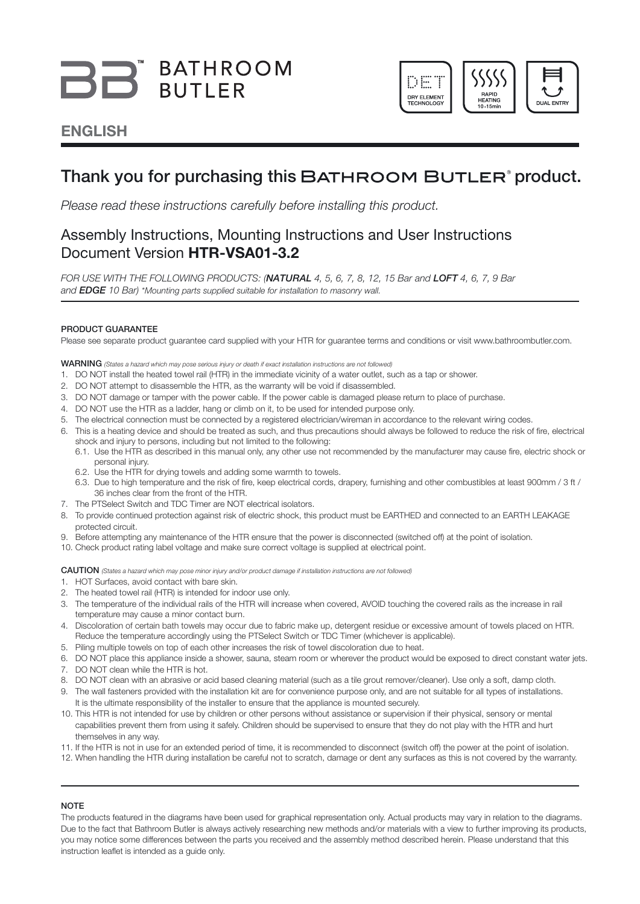# BB BATHROOM



### ENGLISH

### Thank you for purchasing this BATHROOM BUTLER<sup>®</sup> product.

*Please read these instructions carefully before installing this product.*

### Assembly Instructions, Mounting Instructions and User Instructions Document Version HTR-VSA01-3.2

*FOR USE WITH THE FOLLOWING PRODUCTS: (*NATURAL *4, 5, 6, 7, 8, 12, 15 Bar and* LOFT *4, 6, 7, 9 Bar and* EDGE *10 Bar) \*Mounting parts supplied suitable for installation to masonry wall.* 

#### PRODUCT GUARANTEE

Please see separate product guarantee card supplied with your HTR for guarantee terms and conditions or visit www.bathroombutler.com.

WARNING *(States a hazard which may pose serious injury or death if exact installation instructions are not followed)*

- 1. DO NOT install the heated towel rail (HTR) in the immediate vicinity of a water outlet, such as a tap or shower.
- 2. DO NOT attempt to disassemble the HTR, as the warranty will be void if disassembled.
- 3. DO NOT damage or tamper with the power cable. If the power cable is damaged please return to place of purchase.
- 4. DO NOT use the HTR as a ladder, hang or climb on it, to be used for intended purpose only.
- 5. The electrical connection must be connected by a registered electrician/wireman in accordance to the relevant wiring codes.
- 6. This is a heating device and should be treated as such, and thus precautions should always be followed to reduce the risk of fire, electrical shock and injury to persons, including but not limited to the following:
	- 6.1. Use the HTR as described in this manual only, any other use not recommended by the manufacturer may cause fire, electric shock or personal injury.
	- 6.2. Use the HTR for drying towels and adding some warmth to towels.
	- 6.3. Due to high temperature and the risk of fire, keep electrical cords, drapery, furnishing and other combustibles at least 900mm / 3 ft / 36 inches clear from the front of the HTR.
- 7. The PTSelect Switch and TDC Timer are NOT electrical isolators.
- 8. To provide continued protection against risk of electric shock, this product must be EARTHED and connected to an EARTH LEAKAGE protected circuit.
- 9. Before attempting any maintenance of the HTR ensure that the power is disconnected (switched off) at the point of isolation.
- 10. Check product rating label voltage and make sure correct voltage is supplied at electrical point.

CAUTION *(States a hazard which may pose minor injury and/or product damage if installation instructions are not followed)*

- 1. HOT Surfaces, avoid contact with bare skin.
- 2. The heated towel rail (HTR) is intended for indoor use only.
- 3. The temperature of the individual rails of the HTR will increase when covered, AVOID touching the covered rails as the increase in rail temperature may cause a minor contact burn.
- 4. Discoloration of certain bath towels may occur due to fabric make up, detergent residue or excessive amount of towels placed on HTR. Reduce the temperature accordingly using the PTSelect Switch or TDC Timer (whichever is applicable).
- 5. Piling multiple towels on top of each other increases the risk of towel discoloration due to heat.
- 6. DO NOT place this appliance inside a shower, sauna, steam room or wherever the product would be exposed to direct constant water jets.
- 7. DO NOT clean while the HTR is hot.
- 8. DO NOT clean with an abrasive or acid based cleaning material (such as a tile grout remover/cleaner). Use only a soft, damp cloth.
- 9. The wall fasteners provided with the installation kit are for convenience purpose only, and are not suitable for all types of installations. It is the ultimate responsibility of the installer to ensure that the appliance is mounted securely.
- 10. This HTR is not intended for use by children or other persons without assistance or supervision if their physical, sensory or mental capabilities prevent them from using it safely. Children should be supervised to ensure that they do not play with the HTR and hurt themselves in any way.
- 11. If the HTR is not in use for an extended period of time, it is recommended to disconnect (switch off) the power at the point of isolation.
- 12. When handling the HTR during installation be careful not to scratch, damage or dent any surfaces as this is not covered by the warranty.

#### **NOTE**

The products featured in the diagrams have been used for graphical representation only. Actual products may vary in relation to the diagrams. Due to the fact that Bathroom Butler is always actively researching new methods and/or materials with a view to further improving its products, you may notice some differences between the parts you received and the assembly method described herein. Please understand that this instruction leaflet is intended as a guide only.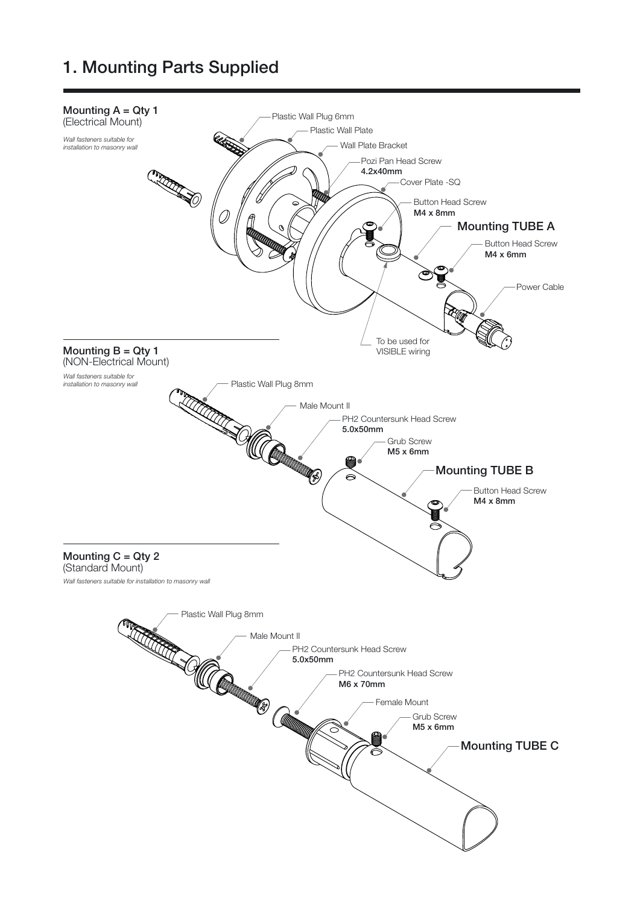### 1. Mounting Parts Supplied

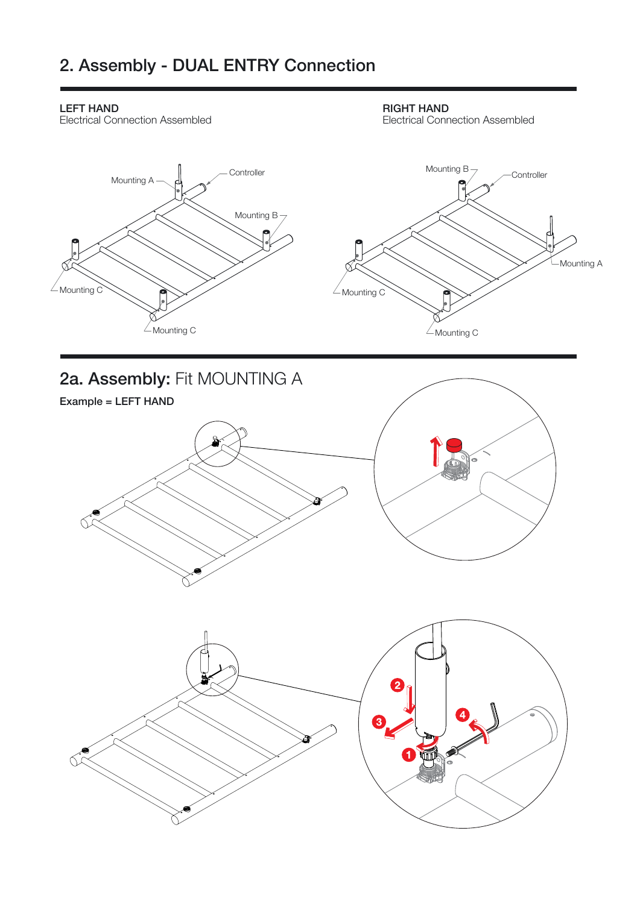# 2. Assembly - DUAL ENTRY Connection

### LEFT HAND

Electrical Connection Assembled

#### RIGHT HAND

Electrical Connection Assembled

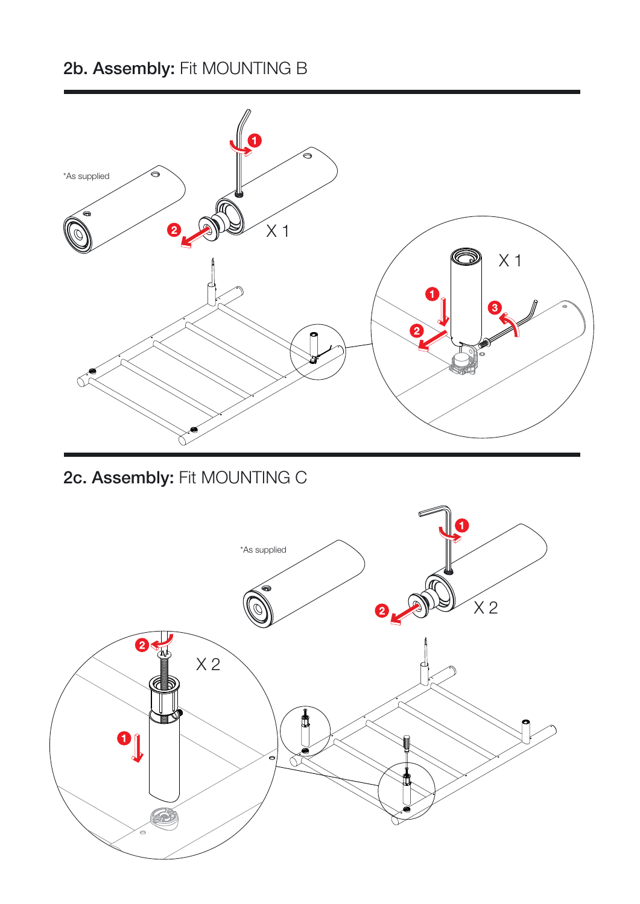# 2b. Assembly: Fit MOUNTING B



# 2c. Assembly: Fit MOUNTING C

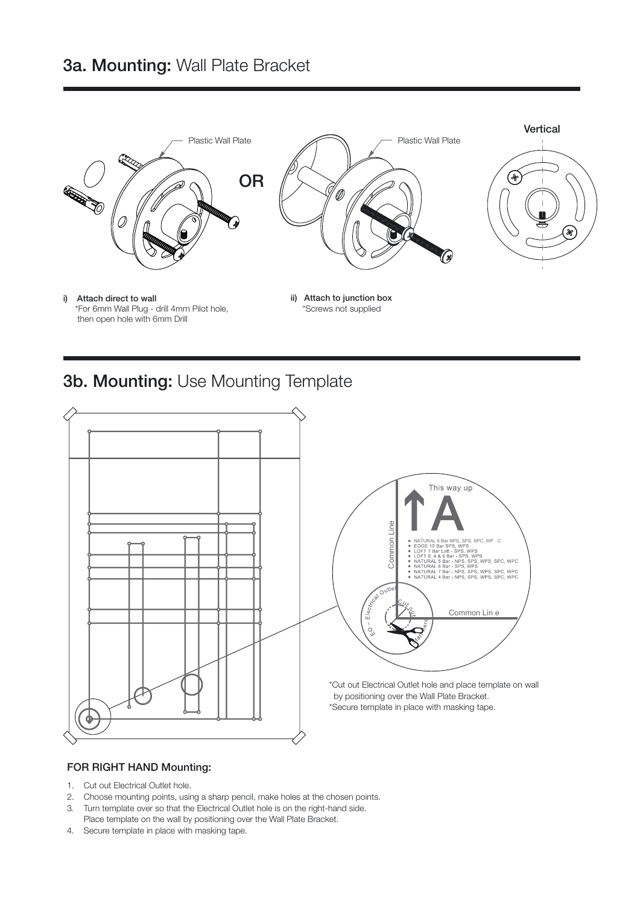

### 3b. Mounting: Use Mounting Template



#### FOR RIGHT HAND Mounting:

- 1. Cut out Electrical Outlet hole.
- 2. Choose mounting points, using a sharp pencil, make holes at the chosen points.
- 3. Turn template over so that the Electrical Outlet hole is on the right-hand side. Place template on the wall by positioning over the Wall Plate Bracket.
- 4. Secure template in place with masking tape.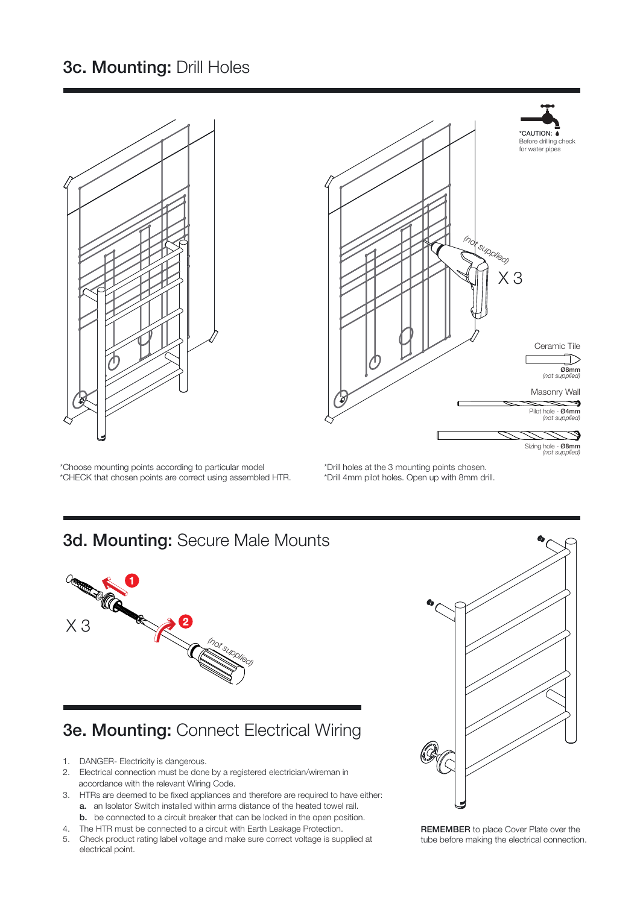## 3c. Mounting: Drill Holes

\*Choose mounting points according to particular model \*CHECK that chosen points are correct using assembled HTR. \*Drill holes at the 3 mounting points chosen.

### 3d. Mounting: Secure Male Mounts



# 3e. Mounting: Connect Electrical Wiring

- 1. DANGER- Electricity is dangerous.
- 2. Electrical connection must be done by a registered electrician/wireman in accordance with the relevant Wiring Code.
- 3. HTRs are deemed to be fixed appliances and therefore are required to have either: a. an Isolator Switch installed within arms distance of the heated towel rail.
	- b. be connected to a circuit breaker that can be locked in the open position.
- 4. The HTR must be connected to a circuit with Earth Leakage Protection.
- 5. Check product rating label voltage and make sure correct voltage is supplied at electrical point.



REMEMBER to place Cover Plate over the tube before making the electrical connection.



\*Drill 4mm pilot holes. Open up with 8mm drill.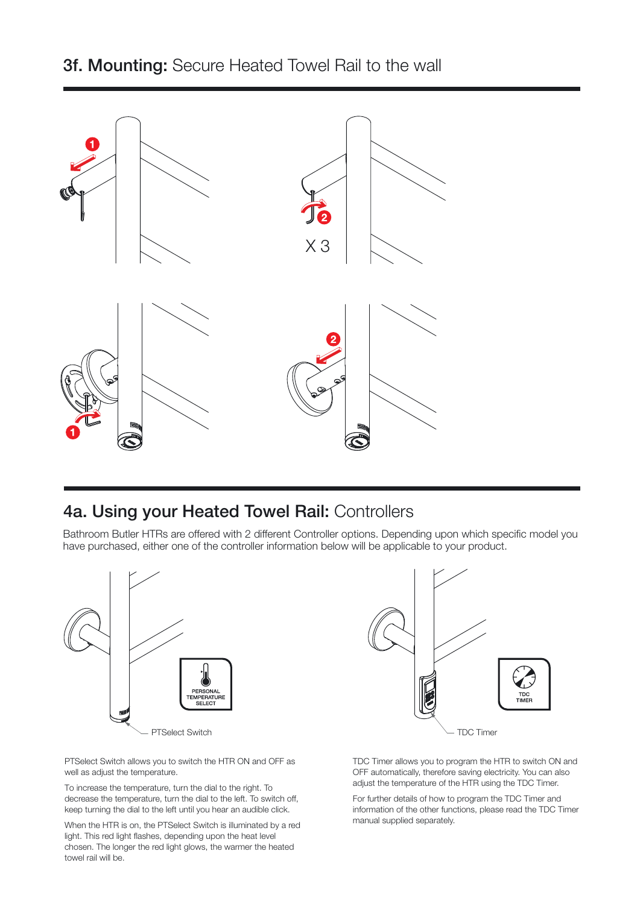

### 4a. Using your Heated Towel Rail: Controllers

Bathroom Butler HTRs are offered with 2 different Controller options. Depending upon which specific model you have purchased, either one of the controller information below will be applicable to your product.



PTSelect Switch allows you to switch the HTR ON and OFF as well as adjust the temperature.

To increase the temperature, turn the dial to the right. To decrease the temperature, turn the dial to the left. To switch off, keep turning the dial to the left until you hear an audible click.

When the HTR is on, the PTSelect Switch is illuminated by a red light. This red light flashes, depending upon the heat level chosen. The longer the red light glows, the warmer the heated towel rail will be.



TDC Timer allows you to program the HTR to switch ON and OFF automatically, therefore saving electricity. You can also adjust the temperature of the HTR using the TDC Timer.

For further details of how to program the TDC Timer and information of the other functions, please read the TDC Timer manual supplied separately.